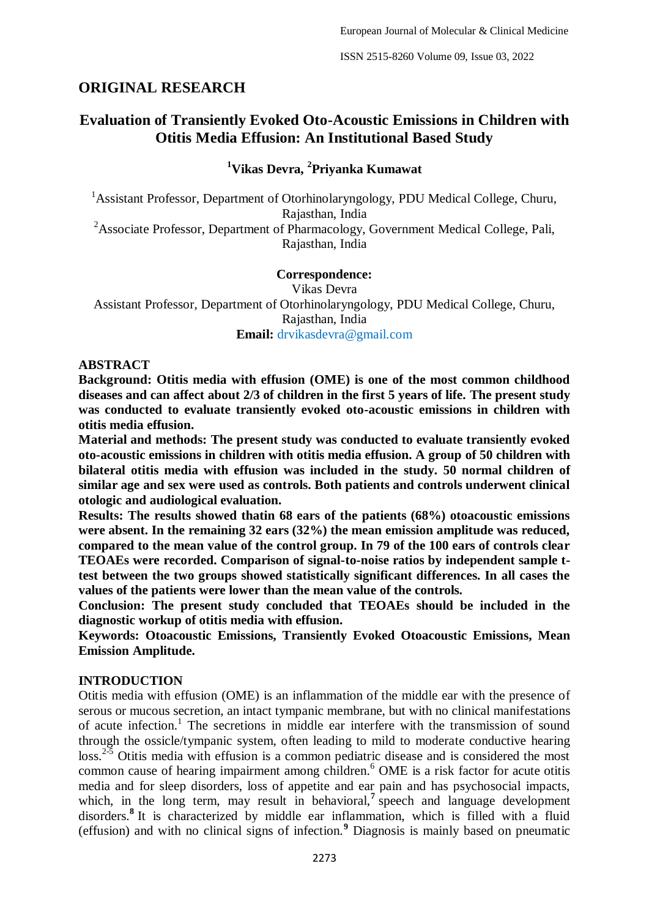# **ORIGINAL RESEARCH**

# **Evaluation of Transiently Evoked Oto-Acoustic Emissions in Children with Otitis Media Effusion: An Institutional Based Study**

## **<sup>1</sup>Vikas Devra, <sup>2</sup> Priyanka Kumawat**

<sup>1</sup> Assistant Professor, Department of Otorhinolaryngology, PDU Medical College, Churu, Rajasthan, India <sup>2</sup> Associate Professor, Department of Pharmacology, Government Medical College, Pali, Rajasthan, India

#### **Correspondence:**

Vikas Devra Assistant Professor, Department of Otorhinolaryngology, PDU Medical College, Churu, Rajasthan, India **Email:** drvikasdevra@gmail.com

#### **ABSTRACT**

**Background: Otitis media with effusion (OME) is one of the most common childhood diseases and can affect about 2/3 of children in the first 5 years of life. The present study was conducted to evaluate transiently evoked oto-acoustic emissions in children with otitis media effusion.**

**Material and methods: The present study was conducted to evaluate transiently evoked oto-acoustic emissions in children with otitis media effusion. A group of 50 children with bilateral otitis media with effusion was included in the study. 50 normal children of similar age and sex were used as controls. Both patients and controls underwent clinical otologic and audiological evaluation.** 

**Results: The results showed thatin 68 ears of the patients (68%) otoacoustic emissions were absent. In the remaining 32 ears (32%) the mean emission amplitude was reduced, compared to the mean value of the control group. In 79 of the 100 ears of controls clear TEOAEs were recorded. Comparison of signal-to-noise ratios by independent sample ttest between the two groups showed statistically significant differences. In all cases the values of the patients were lower than the mean value of the controls.** 

**Conclusion: The present study concluded that TEOAEs should be included in the diagnostic workup of otitis media with effusion.**

**Keywords: Otoacoustic Emissions, Transiently Evoked Otoacoustic Emissions, Mean Emission Amplitude.**

#### **INTRODUCTION**

Otitis media with effusion (OME) is an inflammation of the middle ear with the presence of serous or mucous secretion, an intact tympanic membrane, but with no clinical manifestations of acute infection. 1 The secretions in middle ear interfere with the transmission of sound through the ossicle/tympanic system, often leading to mild to moderate conductive hearing loss.<sup>2-5</sup> Otitis media with effusion is a common pediatric disease and is considered the most common cause of hearing impairment among children. <sup>6</sup> OME is a risk factor for acute otitis media and for sleep disorders, loss of appetite and ear pain and has psychosocial impacts, which, in the long term, may result in behavioral,<sup>7</sup> speech and language development disorders.**<sup>8</sup>** It is characterized by middle ear inflammation, which is filled with a fluid (effusion) and with no clinical signs of infection.**<sup>9</sup>** Diagnosis is mainly based on pneumatic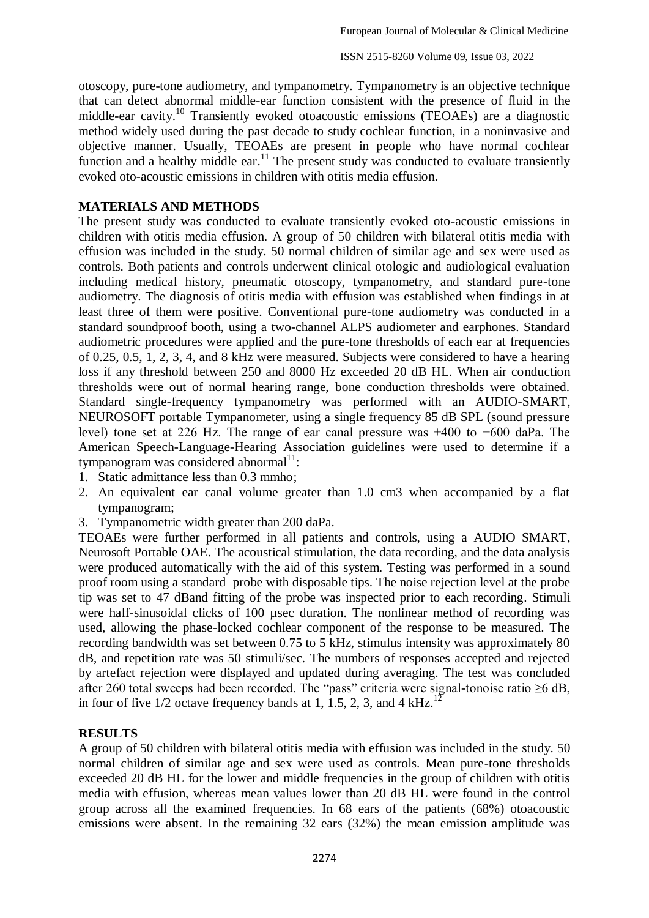otoscopy, pure-tone audiometry, and tympanometry. Tympanometry is an objective technique that can detect abnormal middle-ear function consistent with the presence of fluid in the middle-ear cavity.<sup>10</sup> Transiently evoked otoacoustic emissions (TEOAEs) are a diagnostic method widely used during the past decade to study cochlear function, in a noninvasive and objective manner. Usually, TEOAEs are present in people who have normal cochlear function and a healthy middle ear.<sup>11</sup> The present study was conducted to evaluate transiently evoked oto-acoustic emissions in children with otitis media effusion.

## **MATERIALS AND METHODS**

The present study was conducted to evaluate transiently evoked oto-acoustic emissions in children with otitis media effusion. A group of 50 children with bilateral otitis media with effusion was included in the study. 50 normal children of similar age and sex were used as controls. Both patients and controls underwent clinical otologic and audiological evaluation including medical history, pneumatic otoscopy, tympanometry, and standard pure-tone audiometry. The diagnosis of otitis media with effusion was established when findings in at least three of them were positive. Conventional pure-tone audiometry was conducted in a standard soundproof booth, using a two-channel ALPS audiometer and earphones. Standard audiometric procedures were applied and the pure-tone thresholds of each ear at frequencies of 0.25, 0.5, 1, 2, 3, 4, and 8 kHz were measured. Subjects were considered to have a hearing loss if any threshold between 250 and 8000 Hz exceeded 20 dB HL. When air conduction thresholds were out of normal hearing range, bone conduction thresholds were obtained. Standard single-frequency tympanometry was performed with an AUDIO-SMART, NEUROSOFT portable Tympanometer, using a single frequency 85 dB SPL (sound pressure level) tone set at 226 Hz. The range of ear canal pressure was +400 to −600 daPa. The American Speech-Language-Hearing Association guidelines were used to determine if a  $t$ ympanogram was considered abnormal $^{11}$ :

- 1. Static admittance less than 0.3 mmho;
- 2. An equivalent ear canal volume greater than 1.0 cm3 when accompanied by a flat tympanogram;
- 3. Tympanometric width greater than 200 daPa.

TEOAEs were further performed in all patients and controls, using a AUDIO SMART, Neurosoft Portable OAE. The acoustical stimulation, the data recording, and the data analysis were produced automatically with the aid of this system. Testing was performed in a sound proof room using a standard probe with disposable tips. The noise rejection level at the probe tip was set to 47 dBand fitting of the probe was inspected prior to each recording. Stimuli were half-sinusoidal clicks of 100 µsec duration. The nonlinear method of recording was used, allowing the phase-locked cochlear component of the response to be measured. The recording bandwidth was set between 0.75 to 5 kHz, stimulus intensity was approximately 80 dB, and repetition rate was 50 stimuli/sec. The numbers of responses accepted and rejected by artefact rejection were displayed and updated during averaging. The test was concluded after 260 total sweeps had been recorded. The "pass" criteria were signal-tonoise ratio >6 dB, in four of five  $1/2$  octave frequency bands at 1, 1.5, 2, 3, and 4 kHz.<sup>12</sup>

### **RESULTS**

A group of 50 children with bilateral otitis media with effusion was included in the study. 50 normal children of similar age and sex were used as controls. Mean pure-tone thresholds exceeded 20 dB HL for the lower and middle frequencies in the group of children with otitis media with effusion, whereas mean values lower than 20 dB HL were found in the control group across all the examined frequencies. In 68 ears of the patients (68%) otoacoustic emissions were absent. In the remaining 32 ears (32%) the mean emission amplitude was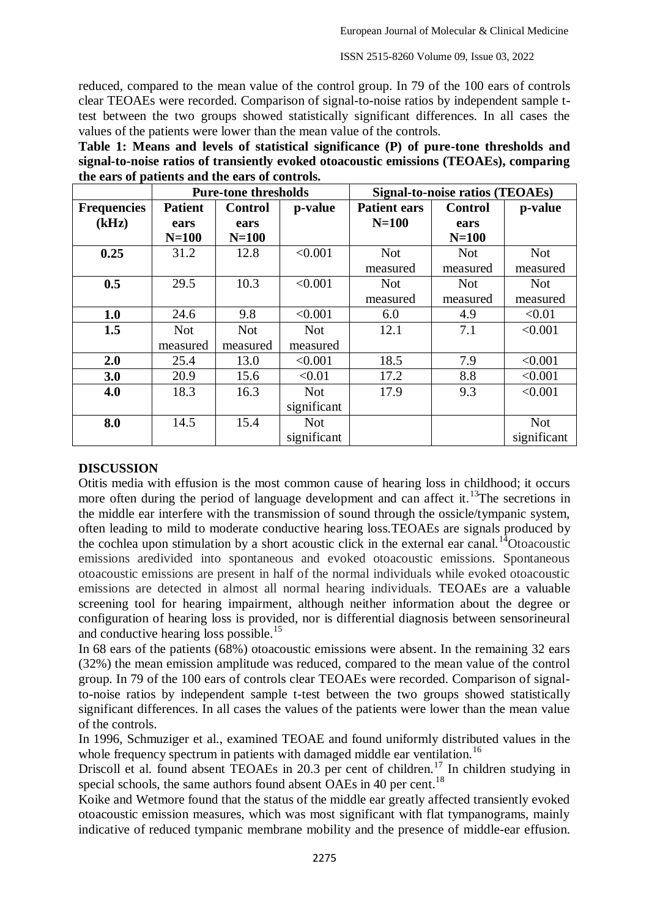reduced, compared to the mean value of the control group. In 79 of the 100 ears of controls clear TEOAEs were recorded. Comparison of signal-to-noise ratios by independent sample ttest between the two groups showed statistically significant differences. In all cases the values of the patients were lower than the mean value of the controls.

**Table 1: Means and levels of statistical significance (P) of pure-tone thresholds and signal-to-noise ratios of transiently evoked otoacoustic emissions (TEOAEs), comparing the ears of patients and the ears of controls.**

|                             | <b>Pure-tone thresholds</b> |                        |             | <b>Signal-to-noise ratios (TEOAEs)</b> |                        |             |
|-----------------------------|-----------------------------|------------------------|-------------|----------------------------------------|------------------------|-------------|
| <b>Frequencies</b><br>(kHz) | <b>Patient</b><br>ears      | <b>Control</b><br>ears | p-value     | <b>Patient ears</b><br>$N=100$         | <b>Control</b><br>ears | p-value     |
|                             | $N=100$                     | $N=100$                |             |                                        | $N=100$                |             |
| 0.25                        | 31.2                        | 12.8                   | < 0.001     | <b>Not</b>                             | <b>Not</b>             | <b>Not</b>  |
|                             |                             |                        |             | measured                               | measured               | measured    |
| 0.5                         | 29.5                        | 10.3                   | < 0.001     | <b>Not</b>                             | <b>Not</b>             | <b>Not</b>  |
|                             |                             |                        |             | measured                               | measured               | measured    |
| 1.0                         | 24.6                        | 9.8                    | < 0.001     | 6.0                                    | 4.9                    | < 0.01      |
| 1.5                         | <b>Not</b>                  | <b>Not</b>             | <b>Not</b>  | 12.1                                   | 7.1                    | < 0.001     |
|                             | measured                    | measured               | measured    |                                        |                        |             |
| 2.0                         | 25.4                        | 13.0                   | < 0.001     | 18.5                                   | 7.9                    | < 0.001     |
| 3.0                         | 20.9                        | 15.6                   | < 0.01      | 17.2                                   | 8.8                    | < 0.001     |
| 4.0                         | 18.3                        | 16.3                   | <b>Not</b>  | 17.9                                   | 9.3                    | < 0.001     |
|                             |                             |                        | significant |                                        |                        |             |
| 8.0                         | 14.5                        | 15.4                   | <b>Not</b>  |                                        |                        | <b>Not</b>  |
|                             |                             |                        | significant |                                        |                        | significant |

#### **DISCUSSION**

Otitis media with effusion is the most common cause of hearing loss in childhood; it occurs more often during the period of language development and can affect it.<sup>13</sup>The secretions in the middle ear interfere with the transmission of sound through the ossicle/tympanic system, often leading to mild to moderate conductive hearing loss.TEOAEs are signals produced by the cochlea upon stimulation by a short acoustic click in the external ear canal.<sup>14</sup>Otoacoustic emissions aredivided into spontaneous and evoked otoacoustic emissions. Spontaneous otoacoustic emissions are present in half of the normal individuals while evoked otoacoustic emissions are detected in almost all normal hearing individuals. TEOAEs are a valuable screening tool for hearing impairment, although neither information about the degree or configuration of hearing loss is provided, nor is differential diagnosis between sensorineural and conductive hearing loss possible.<sup>15</sup>

In 68 ears of the patients (68%) otoacoustic emissions were absent. In the remaining 32 ears (32%) the mean emission amplitude was reduced, compared to the mean value of the control group. In 79 of the 100 ears of controls clear TEOAEs were recorded. Comparison of signalto-noise ratios by independent sample t-test between the two groups showed statistically significant differences. In all cases the values of the patients were lower than the mean value of the controls.

In 1996, Schmuziger et al., examined TEOAE and found uniformly distributed values in the whole frequency spectrum in patients with damaged middle ear ventilation.<sup>16</sup>

Driscoll et al. found absent TEOAEs in 20.3 per cent of children.<sup>17</sup> In children studying in special schools, the same authors found absent OAEs in 40 per cent.<sup>18</sup>

Koike and Wetmore found that the status of the middle ear greatly affected transiently evoked otoacoustic emission measures, which was most significant with flat tympanograms, mainly indicative of reduced tympanic membrane mobility and the presence of middle-ear effusion.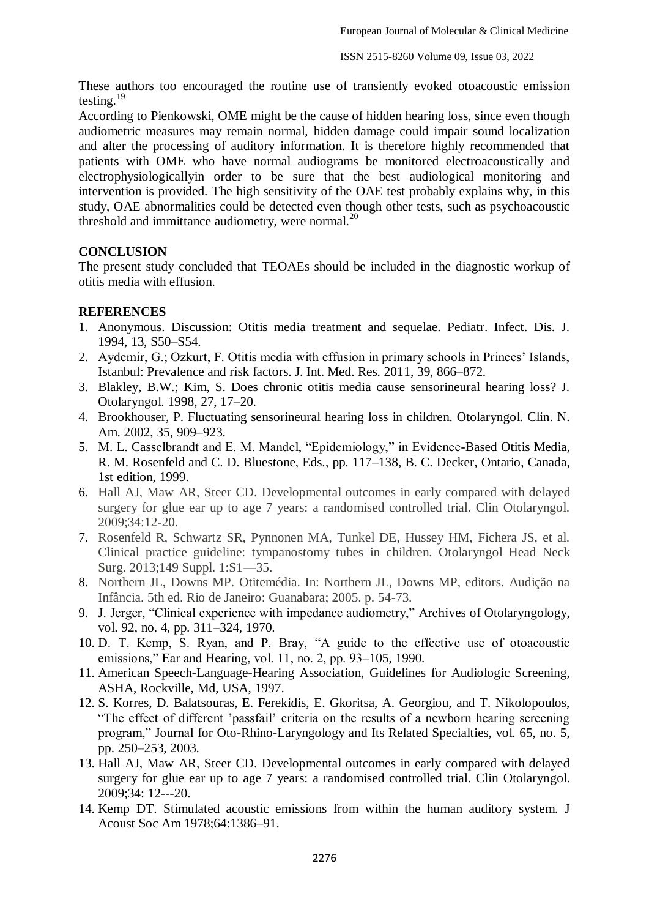These authors too encouraged the routine use of transiently evoked otoacoustic emission testing.<sup>19</sup>

According to Pienkowski, OME might be the cause of hidden hearing loss, since even though audiometric measures may remain normal, hidden damage could impair sound localization and alter the processing of auditory information. It is therefore highly recommended that patients with OME who have normal audiograms be monitored electroacoustically and electrophysiologicallyin order to be sure that the best audiological monitoring and intervention is provided. The high sensitivity of the OAE test probably explains why, in this study, OAE abnormalities could be detected even though other tests, such as psychoacoustic threshold and immittance audiometry, were normal.<sup>20</sup>

## **CONCLUSION**

The present study concluded that TEOAEs should be included in the diagnostic workup of otitis media with effusion.

## **REFERENCES**

- 1. Anonymous. Discussion: Otitis media treatment and sequelae. Pediatr. Infect. Dis. J. 1994, 13, S50–S54.
- 2. Aydemir, G.; Ozkurt, F. Otitis media with effusion in primary schools in Princes' Islands, Istanbul: Prevalence and risk factors. J. Int. Med. Res. 2011, 39, 866–872.
- 3. Blakley, B.W.; Kim, S. Does chronic otitis media cause sensorineural hearing loss? J. Otolaryngol. 1998, 27, 17–20.
- 4. Brookhouser, P. Fluctuating sensorineural hearing loss in children. Otolaryngol. Clin. N. Am. 2002, 35, 909–923.
- 5. M. L. Casselbrandt and E. M. Mandel, "Epidemiology," in Evidence-Based Otitis Media, R. M. Rosenfeld and C. D. Bluestone, Eds., pp. 117–138, B. C. Decker, Ontario, Canada, 1st edition, 1999.
- 6. Hall AJ, Maw AR, Steer CD. Developmental outcomes in early compared with delayed surgery for glue ear up to age 7 years: a randomised controlled trial. Clin Otolaryngol. 2009;34:12-20.
- 7. Rosenfeld R, Schwartz SR, Pynnonen MA, Tunkel DE, Hussey HM, Fichera JS, et al. Clinical practice guideline: tympanostomy tubes in children. Otolaryngol Head Neck Surg. 2013;149 Suppl. 1:S1—35.
- 8. Northern JL, Downs MP. Otitemédia. In: Northern JL, Downs MP, editors. Audição na Infância. 5th ed. Rio de Janeiro: Guanabara; 2005. p. 54-73.
- 9. J. Jerger, "Clinical experience with impedance audiometry," Archives of Otolaryngology, vol. 92, no. 4, pp. 311–324, 1970.
- 10. D. T. Kemp, S. Ryan, and P. Bray, "A guide to the effective use of otoacoustic emissions," Ear and Hearing, vol. 11, no. 2, pp. 93-105, 1990.
- 11. American Speech-Language-Hearing Association, Guidelines for Audiologic Screening, ASHA, Rockville, Md, USA, 1997.
- 12. S. Korres, D. Balatsouras, E. Ferekidis, E. Gkoritsa, A. Georgiou, and T. Nikolopoulos, ―The effect of different 'passfail' criteria on the results of a newborn hearing screening program," Journal for Oto-Rhino-Laryngology and Its Related Specialties, vol. 65, no. 5, pp. 250–253, 2003.
- 13. Hall AJ, Maw AR, Steer CD. Developmental outcomes in early compared with delayed surgery for glue ear up to age 7 years: a randomised controlled trial. Clin Otolaryngol. 2009;34: 12---20.
- 14. Kemp DT. Stimulated acoustic emissions from within the human auditory system. J Acoust Soc Am 1978;64:1386–91.